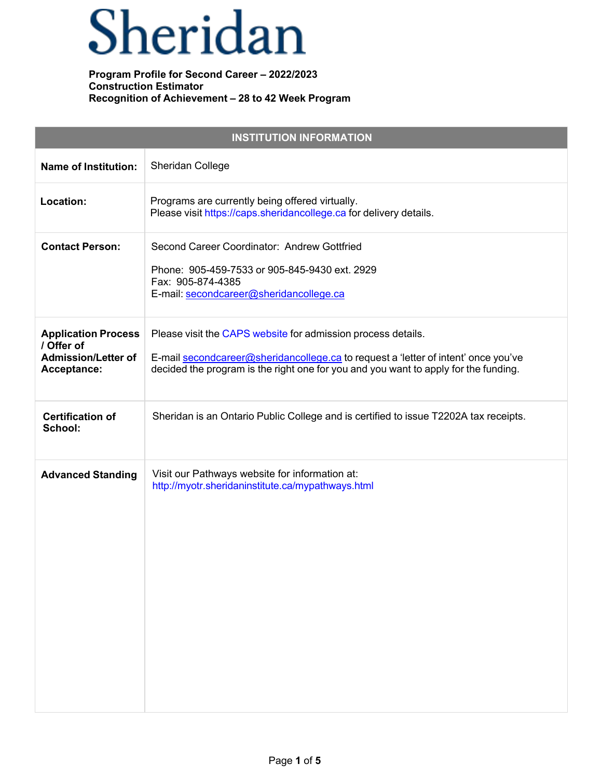# Sheridan

| <b>INSTITUTION INFORMATION</b>                                                        |                                                                                                                                                                                                                                           |  |  |  |  |
|---------------------------------------------------------------------------------------|-------------------------------------------------------------------------------------------------------------------------------------------------------------------------------------------------------------------------------------------|--|--|--|--|
| <b>Name of Institution:</b>                                                           | Sheridan College                                                                                                                                                                                                                          |  |  |  |  |
| Location:                                                                             | Programs are currently being offered virtually.<br>Please visit https://caps.sheridancollege.ca for delivery details.                                                                                                                     |  |  |  |  |
| <b>Contact Person:</b>                                                                | Second Career Coordinator: Andrew Gottfried<br>Phone: 905-459-7533 or 905-845-9430 ext. 2929<br>Fax: 905-874-4385<br>E-mail: secondcareer@sheridancollege.ca                                                                              |  |  |  |  |
| <b>Application Process</b><br>/ Offer of<br><b>Admission/Letter of</b><br>Acceptance: | Please visit the CAPS website for admission process details.<br>E-mail secondcareer@sheridancollege.ca to request a 'letter of intent' once you've<br>decided the program is the right one for you and you want to apply for the funding. |  |  |  |  |
| <b>Certification of</b><br>School:                                                    | Sheridan is an Ontario Public College and is certified to issue T2202A tax receipts.                                                                                                                                                      |  |  |  |  |
| <b>Advanced Standing</b>                                                              | Visit our Pathways website for information at:<br>http://myotr.sheridaninstitute.ca/mypathways.html                                                                                                                                       |  |  |  |  |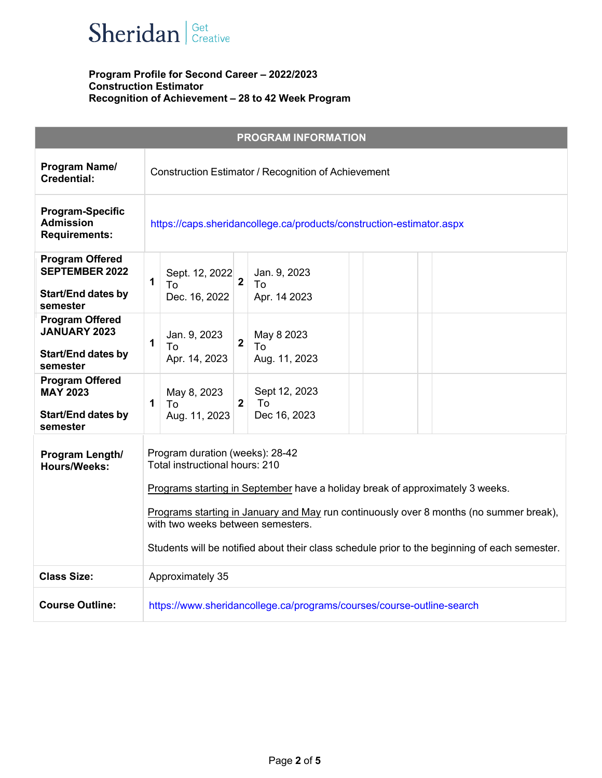

|                                                                                          |              |                                                                                                                                                                                                                                                                                                                                                                                    |                | <b>PROGRAM INFORMATION</b>                                            |  |  |  |  |
|------------------------------------------------------------------------------------------|--------------|------------------------------------------------------------------------------------------------------------------------------------------------------------------------------------------------------------------------------------------------------------------------------------------------------------------------------------------------------------------------------------|----------------|-----------------------------------------------------------------------|--|--|--|--|
| Program Name/<br><b>Credential:</b>                                                      |              | Construction Estimator / Recognition of Achievement                                                                                                                                                                                                                                                                                                                                |                |                                                                       |  |  |  |  |
| <b>Program-Specific</b><br><b>Admission</b><br><b>Requirements:</b>                      |              | https://caps.sheridancollege.ca/products/construction-estimator.aspx                                                                                                                                                                                                                                                                                                               |                |                                                                       |  |  |  |  |
| <b>Program Offered</b><br><b>SEPTEMBER 2022</b><br><b>Start/End dates by</b><br>semester | $\mathbf{1}$ | Sept. 12, 2022<br>To<br>Dec. 16, 2022                                                                                                                                                                                                                                                                                                                                              | $\overline{2}$ | Jan. 9, 2023<br>To<br>Apr. 14 2023                                    |  |  |  |  |
| <b>Program Offered</b><br><b>JANUARY 2023</b><br><b>Start/End dates by</b><br>semester   | 1            | Jan. 9, 2023<br>To<br>Apr. 14, 2023                                                                                                                                                                                                                                                                                                                                                | $\overline{2}$ | May 8 2023<br>To<br>Aug. 11, 2023                                     |  |  |  |  |
| <b>Program Offered</b><br><b>MAY 2023</b><br><b>Start/End dates by</b><br>semester       | 1            | May 8, 2023<br>To<br>Aug. 11, 2023                                                                                                                                                                                                                                                                                                                                                 | $\mathbf{2}$   | Sept 12, 2023<br>To<br>Dec 16, 2023                                   |  |  |  |  |
| Program Length/<br><b>Hours/Weeks:</b>                                                   |              | Program duration (weeks): 28-42<br>Total instructional hours: 210<br>Programs starting in September have a holiday break of approximately 3 weeks.<br>Programs starting in January and May run continuously over 8 months (no summer break),<br>with two weeks between semesters.<br>Students will be notified about their class schedule prior to the beginning of each semester. |                |                                                                       |  |  |  |  |
| <b>Class Size:</b>                                                                       |              | Approximately 35                                                                                                                                                                                                                                                                                                                                                                   |                |                                                                       |  |  |  |  |
| <b>Course Outline:</b>                                                                   |              |                                                                                                                                                                                                                                                                                                                                                                                    |                | https://www.sheridancollege.ca/programs/courses/course-outline-search |  |  |  |  |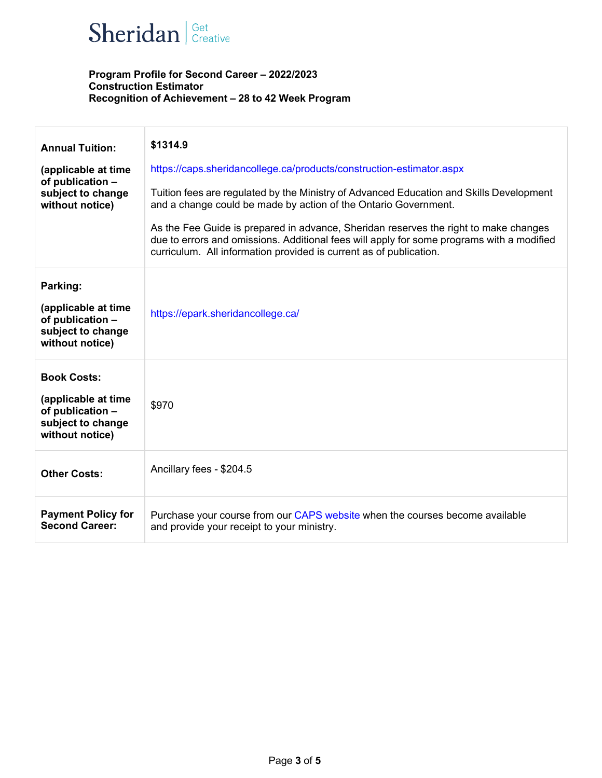## $\textbf{Sheridan}$   $|^\text{Get}$  Creative

| <b>Annual Tuition:</b><br>(applicable at time<br>of publication -<br>subject to change<br>without notice) | \$1314.9<br>https://caps.sheridancollege.ca/products/construction-estimator.aspx<br>Tuition fees are regulated by the Ministry of Advanced Education and Skills Development<br>and a change could be made by action of the Ontario Government.<br>As the Fee Guide is prepared in advance, Sheridan reserves the right to make changes<br>due to errors and omissions. Additional fees will apply for some programs with a modified<br>curriculum. All information provided is current as of publication. |
|-----------------------------------------------------------------------------------------------------------|-----------------------------------------------------------------------------------------------------------------------------------------------------------------------------------------------------------------------------------------------------------------------------------------------------------------------------------------------------------------------------------------------------------------------------------------------------------------------------------------------------------|
| Parking:<br>(applicable at time<br>of publication -<br>subject to change<br>without notice)               | https://epark.sheridancollege.ca/                                                                                                                                                                                                                                                                                                                                                                                                                                                                         |
| <b>Book Costs:</b><br>(applicable at time<br>of publication -<br>subject to change<br>without notice)     | \$970                                                                                                                                                                                                                                                                                                                                                                                                                                                                                                     |
| <b>Other Costs:</b>                                                                                       | Ancillary fees - \$204.5                                                                                                                                                                                                                                                                                                                                                                                                                                                                                  |
| <b>Payment Policy for</b><br><b>Second Career:</b>                                                        | Purchase your course from our CAPS website when the courses become available<br>and provide your receipt to your ministry.                                                                                                                                                                                                                                                                                                                                                                                |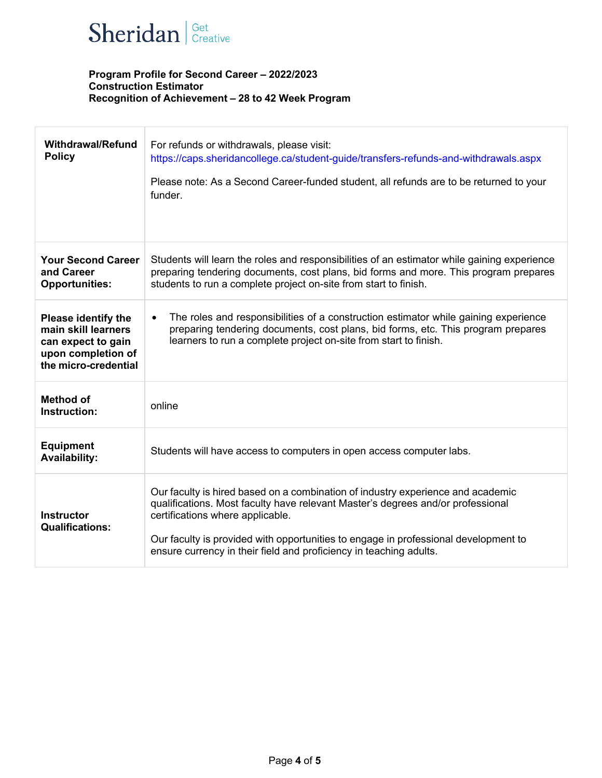

| <b>Withdrawal/Refund</b><br><b>Policy</b>                                                                             | For refunds or withdrawals, please visit:<br>https://caps.sheridancollege.ca/student-guide/transfers-refunds-and-withdrawals.aspx<br>Please note: As a Second Career-funded student, all refunds are to be returned to your<br>funder.                                                                                                                              |
|-----------------------------------------------------------------------------------------------------------------------|---------------------------------------------------------------------------------------------------------------------------------------------------------------------------------------------------------------------------------------------------------------------------------------------------------------------------------------------------------------------|
| <b>Your Second Career</b><br>and Career<br><b>Opportunities:</b>                                                      | Students will learn the roles and responsibilities of an estimator while gaining experience<br>preparing tendering documents, cost plans, bid forms and more. This program prepares<br>students to run a complete project on-site from start to finish.                                                                                                             |
| <b>Please identify the</b><br>main skill learners<br>can expect to gain<br>upon completion of<br>the micro-credential | The roles and responsibilities of a construction estimator while gaining experience<br>$\bullet$<br>preparing tendering documents, cost plans, bid forms, etc. This program prepares<br>learners to run a complete project on-site from start to finish.                                                                                                            |
| <b>Method of</b><br>Instruction:                                                                                      | online                                                                                                                                                                                                                                                                                                                                                              |
| <b>Equipment</b><br><b>Availability:</b>                                                                              | Students will have access to computers in open access computer labs.                                                                                                                                                                                                                                                                                                |
| <b>Instructor</b><br><b>Qualifications:</b>                                                                           | Our faculty is hired based on a combination of industry experience and academic<br>qualifications. Most faculty have relevant Master's degrees and/or professional<br>certifications where applicable.<br>Our faculty is provided with opportunities to engage in professional development to<br>ensure currency in their field and proficiency in teaching adults. |